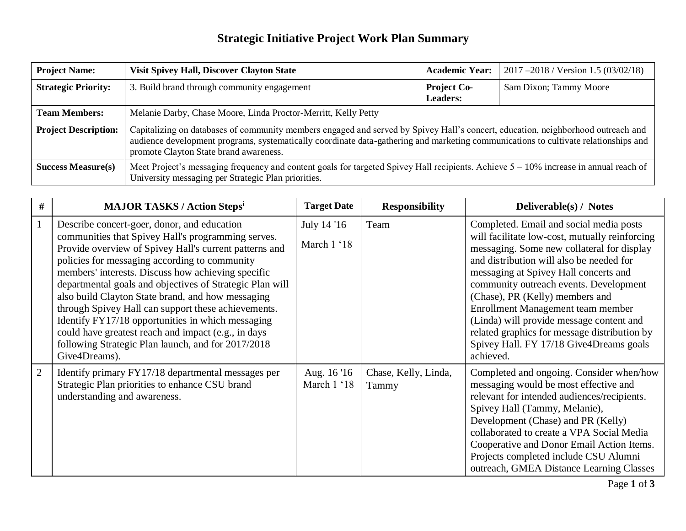## **Strategic Initiative Project Work Plan Summary**

| <b>Project Name:</b>        | <b>Visit Spivey Hall, Discover Clayton State</b>                                                                                                                                                                                                                                                                  | <b>Academic Year:</b>                 | 2017 –2018 / Version 1.5 (03/02/18) |
|-----------------------------|-------------------------------------------------------------------------------------------------------------------------------------------------------------------------------------------------------------------------------------------------------------------------------------------------------------------|---------------------------------------|-------------------------------------|
| <b>Strategic Priority:</b>  | 3. Build brand through community engagement                                                                                                                                                                                                                                                                       | <b>Project Co-</b><br><b>Leaders:</b> | Sam Dixon; Tammy Moore              |
| <b>Team Members:</b>        | Melanie Darby, Chase Moore, Linda Proctor-Merritt, Kelly Petty                                                                                                                                                                                                                                                    |                                       |                                     |
| <b>Project Description:</b> | Capitalizing on databases of community members engaged and served by Spivey Hall's concert, education, neighborhood outreach and<br>audience development programs, systematically coordinate data-gathering and marketing communications to cultivate relationships and<br>promote Clayton State brand awareness. |                                       |                                     |
| <b>Success Measure(s)</b>   | Meet Project's messaging frequency and content goals for targeted Spivey Hall recipients. Achieve $5 - 10\%$ increase in annual reach of<br>University messaging per Strategic Plan priorities.                                                                                                                   |                                       |                                     |

| #              | <b>MAJOR TASKS / Action Stepsi</b>                                                                                                                                                                                                                                                                                                                                                                                                                                                                                                                                                                                            | <b>Target Date</b>         | <b>Responsibility</b>         | Deliverable(s) / Notes                                                                                                                                                                                                                                                                                                                                                                                                                                                                             |
|----------------|-------------------------------------------------------------------------------------------------------------------------------------------------------------------------------------------------------------------------------------------------------------------------------------------------------------------------------------------------------------------------------------------------------------------------------------------------------------------------------------------------------------------------------------------------------------------------------------------------------------------------------|----------------------------|-------------------------------|----------------------------------------------------------------------------------------------------------------------------------------------------------------------------------------------------------------------------------------------------------------------------------------------------------------------------------------------------------------------------------------------------------------------------------------------------------------------------------------------------|
|                | Describe concert-goer, donor, and education<br>communities that Spivey Hall's programming serves.<br>Provide overview of Spivey Hall's current patterns and<br>policies for messaging according to community<br>members' interests. Discuss how achieving specific<br>departmental goals and objectives of Strategic Plan will<br>also build Clayton State brand, and how messaging<br>through Spivey Hall can support these achievements.<br>Identify FY17/18 opportunities in which messaging<br>could have greatest reach and impact (e.g., in days<br>following Strategic Plan launch, and for 2017/2018<br>Give4Dreams). | July 14 '16<br>March 1 '18 | Team                          | Completed. Email and social media posts<br>will facilitate low-cost, mutually reinforcing<br>messaging. Some new collateral for display<br>and distribution will also be needed for<br>messaging at Spivey Hall concerts and<br>community outreach events. Development<br>(Chase), PR (Kelly) members and<br>Enrollment Management team member<br>(Linda) will provide message content and<br>related graphics for message distribution by<br>Spivey Hall. FY 17/18 Give4Dreams goals<br>achieved. |
| $\overline{2}$ | Identify primary FY17/18 departmental messages per<br>Strategic Plan priorities to enhance CSU brand<br>understanding and awareness.                                                                                                                                                                                                                                                                                                                                                                                                                                                                                          | Aug. 16 '16<br>March 1 '18 | Chase, Kelly, Linda,<br>Tammy | Completed and ongoing. Consider when/how<br>messaging would be most effective and<br>relevant for intended audiences/recipients.<br>Spivey Hall (Tammy, Melanie),<br>Development (Chase) and PR (Kelly)<br>collaborated to create a VPA Social Media<br>Cooperative and Donor Email Action Items.<br>Projects completed include CSU Alumni<br>outreach, GMEA Distance Learning Classes                                                                                                             |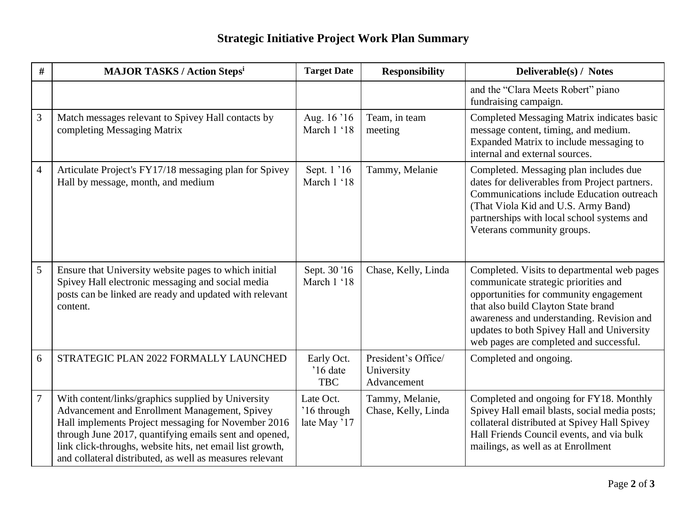## **Strategic Initiative Project Work Plan Summary**

| #              | <b>MAJOR TASKS / Action Stepsi</b>                                                                                                                                                                                                                                                                                                            | <b>Target Date</b>                       | <b>Responsibility</b>                            | Deliverable(s) / Notes                                                                                                                                                                                                                                                                                     |
|----------------|-----------------------------------------------------------------------------------------------------------------------------------------------------------------------------------------------------------------------------------------------------------------------------------------------------------------------------------------------|------------------------------------------|--------------------------------------------------|------------------------------------------------------------------------------------------------------------------------------------------------------------------------------------------------------------------------------------------------------------------------------------------------------------|
|                |                                                                                                                                                                                                                                                                                                                                               |                                          |                                                  | and the "Clara Meets Robert" piano<br>fundraising campaign.                                                                                                                                                                                                                                                |
| 3              | Match messages relevant to Spivey Hall contacts by<br>completing Messaging Matrix                                                                                                                                                                                                                                                             | Aug. 16 '16<br>March 1 '18               | Team, in team<br>meeting                         | Completed Messaging Matrix indicates basic<br>message content, timing, and medium.<br>Expanded Matrix to include messaging to<br>internal and external sources.                                                                                                                                            |
| $\overline{4}$ | Articulate Project's FY17/18 messaging plan for Spivey<br>Hall by message, month, and medium                                                                                                                                                                                                                                                  | Sept. 1 '16<br>March 1 '18               | Tammy, Melanie                                   | Completed. Messaging plan includes due<br>dates for deliverables from Project partners.<br>Communications include Education outreach<br>(That Viola Kid and U.S. Army Band)<br>partnerships with local school systems and<br>Veterans community groups.                                                    |
| 5              | Ensure that University website pages to which initial<br>Spivey Hall electronic messaging and social media<br>posts can be linked are ready and updated with relevant<br>content.                                                                                                                                                             | Sept. 30 '16<br>March 1 '18              | Chase, Kelly, Linda                              | Completed. Visits to departmental web pages<br>communicate strategic priorities and<br>opportunities for community engagement<br>that also build Clayton State brand<br>awareness and understanding. Revision and<br>updates to both Spivey Hall and University<br>web pages are completed and successful. |
| 6              | STRATEGIC PLAN 2022 FORMALLY LAUNCHED                                                                                                                                                                                                                                                                                                         | Early Oct.<br>'16 date<br><b>TBC</b>     | President's Office/<br>University<br>Advancement | Completed and ongoing.                                                                                                                                                                                                                                                                                     |
| $\overline{7}$ | With content/links/graphics supplied by University<br>Advancement and Enrollment Management, Spivey<br>Hall implements Project messaging for November 2016<br>through June 2017, quantifying emails sent and opened,<br>link click-throughs, website hits, net email list growth,<br>and collateral distributed, as well as measures relevant | Late Oct.<br>'16 through<br>late May '17 | Tammy, Melanie,<br>Chase, Kelly, Linda           | Completed and ongoing for FY18. Monthly<br>Spivey Hall email blasts, social media posts;<br>collateral distributed at Spivey Hall Spivey<br>Hall Friends Council events, and via bulk<br>mailings, as well as at Enrollment                                                                                |